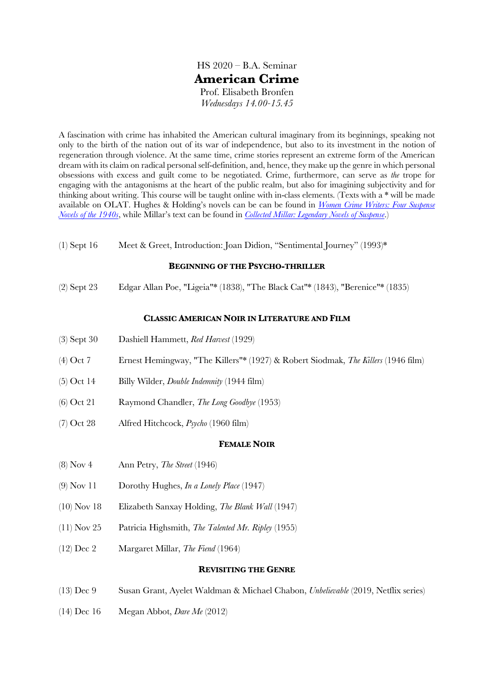HS 2020 – B.A. Seminar **American Crime** Prof. Elisabeth Bronfen *Wednesdays 14.00-15.45*

A fascination with crime has inhabited the American cultural imaginary from its beginnings, speaking not only to the birth of the nation out of its war of independence, but also to its investment in the notion of regeneration through violence. At the same time, crime stories represent an extreme form of the American dream with its claim on radical personal self-definition, and, hence, they make up the genre in which personal obsessions with excess and guilt come to be negotiated. Crime, furthermore, can serve as *the* trope for engaging with the antagonisms at the heart of the public realm, but also for imagining subjectivity and for thinking about writing. This course will be taught online with in-class elements. (Texts with a \* will be made available on OLAT. Hughes & Holding's novels can be can be found in *Women Crime Writers: Four Suspense Novels of the 1940s*, while Millar's text can be found in *Collected Millar: Legendary Novels of Suspense*.)

(1) Sept 16 Meet & Greet, Introduction: Joan Didion, "Sentimental Journey" (1993)\*

### **BEGINNING OF THE PSYCHO-THRILLER**

(2) Sept 23 Edgar Allan Poe, "Ligeia"\* (1838), "The Black Cat"\* (1843), "Berenice"\* (1835)

### **CLASSIC AMERICAN NOIR IN LITERATURE AND FILM**

- (3) Sept 30 Dashiell Hammett, *Red Harvest* (1929)
- (4) Oct 7 Ernest Hemingway, "The Killers"\* (1927) & Robert Siodmak, *The Killers* (1946 film)
- (5) Oct 14 Billy Wilder, *Double Indemnity* (1944 film)
- (6) Oct 21 Raymond Chandler, *The Long Goodbye* (1953)
- (7) Oct 28 Alfred Hitchcock, *Psycho* (1960 film)

### **FEMALE NOIR**

- (8) Nov 4 Ann Petry, *The Street* (1946)
- (9) Nov 11 Dorothy Hughes, *In a Lonely Place* (1947)
- (10) Nov 18 Elizabeth Sanxay Holding, *The Blank Wall* (1947)
- (11) Nov 25 Patricia Highsmith, *The Talented Mr. Ripley* (1955)
- (12) Dec 2 Margaret Millar, *The Fiend* (1964)

#### **REVISITING THE GENRE**

- (13) Dec 9 Susan Grant, Ayelet Waldman & Michael Chabon, *Unbelievable* (2019, Netflix series)
- (14) Dec 16 Megan Abbot, *Dare Me* (2012)